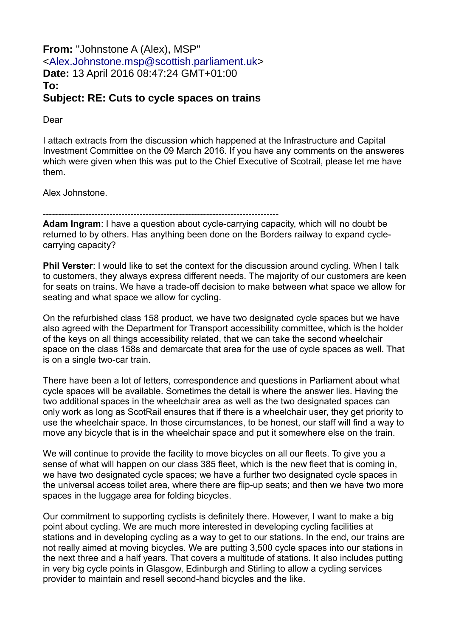**From:** "Johnstone A (Alex), MSP" [<Alex.Johnstone.msp@scottish.parliament.uk>](mailto:Alex.Johnstone.msp@scottish.parliament.uk) **Date:** 13 April 2016 08:47:24 GMT+01:00 **To: Subject: RE: Cuts to cycle spaces on trains**

Dear

I attach extracts from the discussion which happened at the Infrastructure and Capital Investment Committee on the 09 March 2016. If you have any comments on the answeres which were given when this was put to the Chief Executive of Scotrail, please let me have them.

Alex Johnstone.

------------------------------------------------------------------------------

**Adam Ingram**: I have a question about cycle-carrying capacity, which will no doubt be returned to by others. Has anything been done on the Borders railway to expand cyclecarrying capacity?

**Phil Verster**: I would like to set the context for the discussion around cycling. When I talk to customers, they always express different needs. The majority of our customers are keen for seats on trains. We have a trade-off decision to make between what space we allow for seating and what space we allow for cycling.

On the refurbished class 158 product, we have two designated cycle spaces but we have also agreed with the Department for Transport accessibility committee, which is the holder of the keys on all things accessibility related, that we can take the second wheelchair space on the class 158s and demarcate that area for the use of cycle spaces as well. That is on a single two-car train.

There have been a lot of letters, correspondence and questions in Parliament about what cycle spaces will be available. Sometimes the detail is where the answer lies. Having the two additional spaces in the wheelchair area as well as the two designated spaces can only work as long as ScotRail ensures that if there is a wheelchair user, they get priority to use the wheelchair space. In those circumstances, to be honest, our staff will find a way to move any bicycle that is in the wheelchair space and put it somewhere else on the train.

We will continue to provide the facility to move bicycles on all our fleets. To give you a sense of what will happen on our class 385 fleet, which is the new fleet that is coming in, we have two designated cycle spaces; we have a further two designated cycle spaces in the universal access toilet area, where there are flip-up seats; and then we have two more spaces in the luggage area for folding bicycles.

Our commitment to supporting cyclists is definitely there. However, I want to make a big point about cycling. We are much more interested in developing cycling facilities at stations and in developing cycling as a way to get to our stations. In the end, our trains are not really aimed at moving bicycles. We are putting 3,500 cycle spaces into our stations in the next three and a half years. That covers a multitude of stations. It also includes putting in very big cycle points in Glasgow, Edinburgh and Stirling to allow a cycling services provider to maintain and resell second-hand bicycles and the like.